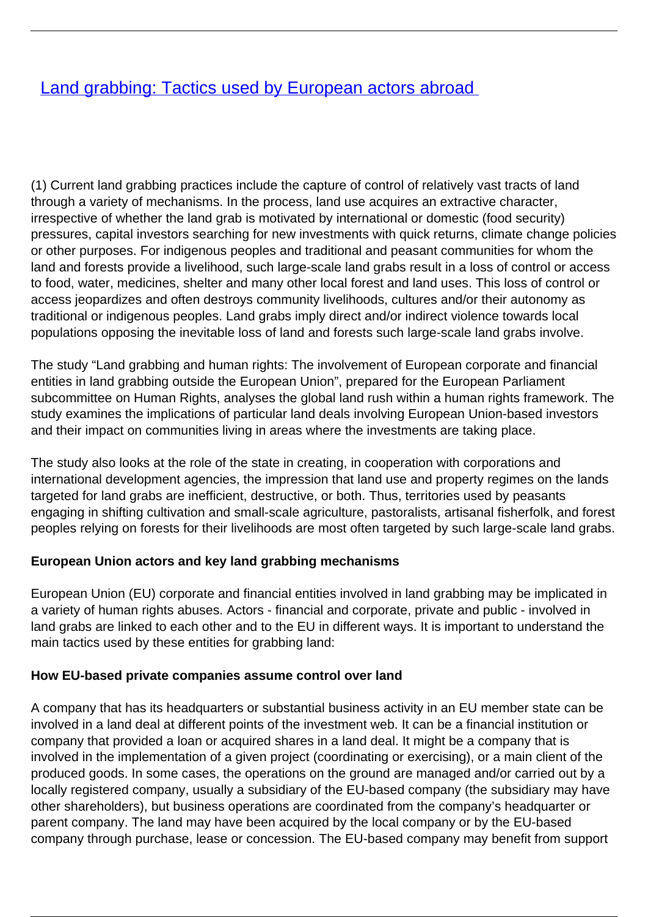# **[Land grabbing: Tactics used by European actors abroad](/bulletin-articles/land-grabbing-tactics-used-by-european-actors-abroad)**

(1) Current land grabbing practices include the capture of control of relatively vast tracts of land through a variety of mechanisms. In the process, land use acquires an extractive character, irrespective of whether the land grab is motivated by international or domestic (food security) pressures, capital investors searching for new investments with quick returns, climate change policies or other purposes. For indigenous peoples and traditional and peasant communities for whom the land and forests provide a livelihood, such large-scale land grabs result in a loss of control or access to food, water, medicines, shelter and many other local forest and land uses. This loss of control or access jeopardizes and often destroys community livelihoods, cultures and/or their autonomy as traditional or indigenous peoples. Land grabs imply direct and/or indirect violence towards local populations opposing the inevitable loss of land and forests such large-scale land grabs involve.

The study "Land grabbing and human rights: The involvement of European corporate and financial entities in land grabbing outside the European Union", prepared for the European Parliament subcommittee on Human Rights, analyses the global land rush within a human rights framework. The study examines the implications of particular land deals involving European Union-based investors and their impact on communities living in areas where the investments are taking place.

The study also looks at the role of the state in creating, in cooperation with corporations and international development agencies, the impression that land use and property regimes on the lands targeted for land grabs are inefficient, destructive, or both. Thus, territories used by peasants engaging in shifting cultivation and small-scale agriculture, pastoralists, artisanal fisherfolk, and forest peoples relying on forests for their livelihoods are most often targeted by such large-scale land grabs.

### **European Union actors and key land grabbing mechanisms**

European Union (EU) corporate and financial entities involved in land grabbing may be implicated in a variety of human rights abuses. Actors - financial and corporate, private and public - involved in land grabs are linked to each other and to the EU in different ways. It is important to understand the main tactics used by these entities for grabbing land:

### **How EU-based private companies assume control over land**

A company that has its headquarters or substantial business activity in an EU member state can be involved in a land deal at different points of the investment web. It can be a financial institution or company that provided a loan or acquired shares in a land deal. It might be a company that is involved in the implementation of a given project (coordinating or exercising), or a main client of the produced goods. In some cases, the operations on the ground are managed and/or carried out by a locally registered company, usually a subsidiary of the EU-based company (the subsidiary may have other shareholders), but business operations are coordinated from the company's headquarter or parent company. The land may have been acquired by the local company or by the EU-based company through purchase, lease or concession. The EU-based company may benefit from support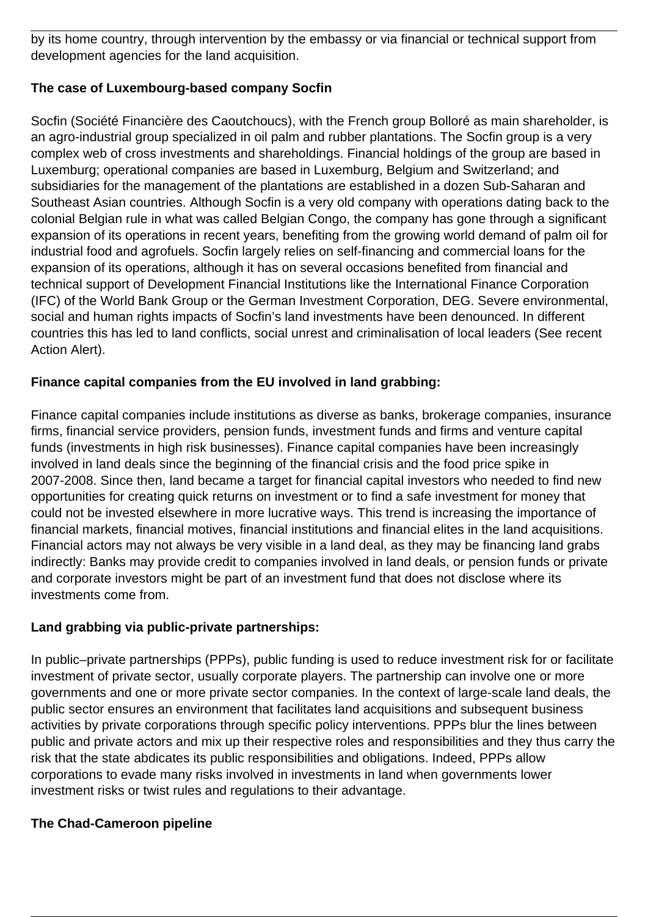by its home country, through intervention by the embassy or via financial or technical support from development agencies for the land acquisition.

## **The case of Luxembourg-based company Socfin**

Socfin (Société Financière des Caoutchoucs), with the French group Bolloré as main shareholder, is an agro-industrial group specialized in oil palm and rubber plantations. The Socfin group is a very complex web of cross investments and shareholdings. Financial holdings of the group are based in Luxemburg; operational companies are based in Luxemburg, Belgium and Switzerland; and subsidiaries for the management of the plantations are established in a dozen Sub-Saharan and Southeast Asian countries. Although Socfin is a very old company with operations dating back to the colonial Belgian rule in what was called Belgian Congo, the company has gone through a significant expansion of its operations in recent years, benefiting from the growing world demand of palm oil for industrial food and agrofuels. Socfin largely relies on self-financing and commercial loans for the expansion of its operations, although it has on several occasions benefited from financial and technical support of Development Financial Institutions like the International Finance Corporation (IFC) of the World Bank Group or the German Investment Corporation, DEG. Severe environmental, social and human rights impacts of Socfin's land investments have been denounced. In different countries this has led to land conflicts, social unrest and criminalisation of local leaders (See recent Action Alert).

## **Finance capital companies from the EU involved in land grabbing:**

Finance capital companies include institutions as diverse as banks, brokerage companies, insurance firms, financial service providers, pension funds, investment funds and firms and venture capital funds (investments in high risk businesses). Finance capital companies have been increasingly involved in land deals since the beginning of the financial crisis and the food price spike in 2007-2008. Since then, land became a target for financial capital investors who needed to find new opportunities for creating quick returns on investment or to find a safe investment for money that could not be invested elsewhere in more lucrative ways. This trend is increasing the importance of financial markets, financial motives, financial institutions and financial elites in the land acquisitions. Financial actors may not always be very visible in a land deal, as they may be financing land grabs indirectly: Banks may provide credit to companies involved in land deals, or pension funds or private and corporate investors might be part of an investment fund that does not disclose where its investments come from.

### **Land grabbing via public-private partnerships:**

In public–private partnerships (PPPs), public funding is used to reduce investment risk for or facilitate investment of private sector, usually corporate players. The partnership can involve one or more governments and one or more private sector companies. In the context of large-scale land deals, the public sector ensures an environment that facilitates land acquisitions and subsequent business activities by private corporations through specific policy interventions. PPPs blur the lines between public and private actors and mix up their respective roles and responsibilities and they thus carry the risk that the state abdicates its public responsibilities and obligations. Indeed, PPPs allow corporations to evade many risks involved in investments in land when governments lower investment risks or twist rules and regulations to their advantage.

### **The Chad-Cameroon pipeline**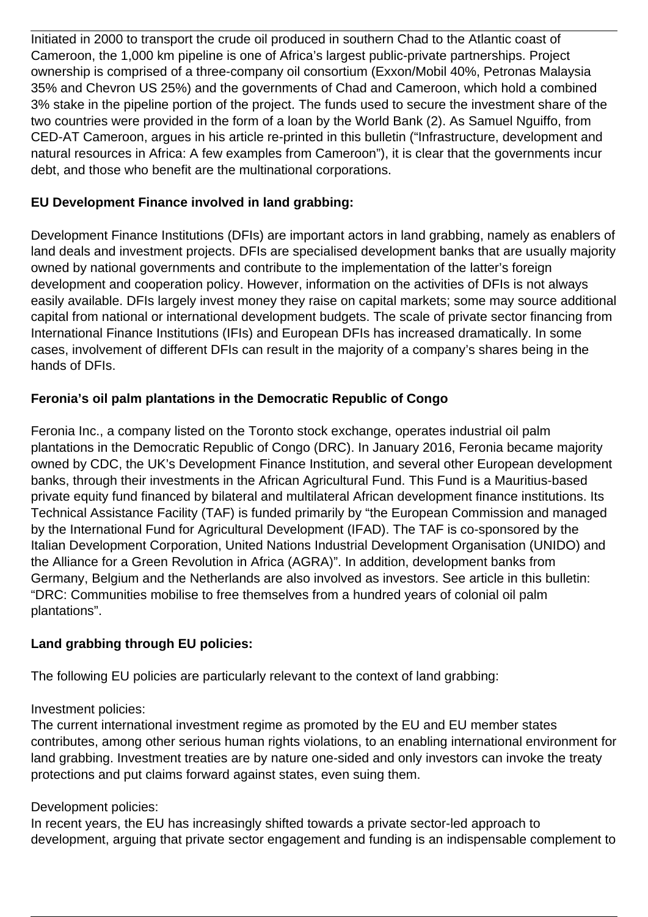Initiated in 2000 to transport the crude oil produced in southern Chad to the Atlantic coast of Cameroon, the 1,000 km pipeline is one of Africa's largest public-private partnerships. Project ownership is comprised of a three-company oil consortium (Exxon/Mobil 40%, Petronas Malaysia 35% and Chevron US 25%) and the governments of Chad and Cameroon, which hold a combined 3% stake in the pipeline portion of the project. The funds used to secure the investment share of the two countries were provided in the form of a loan by the World Bank (2). As Samuel Nguiffo, from CED-AT Cameroon, argues in his article re-printed in this bulletin ("Infrastructure, development and natural resources in Africa: A few examples from Cameroon"), it is clear that the governments incur debt, and those who benefit are the multinational corporations.

## **EU Development Finance involved in land grabbing:**

Development Finance Institutions (DFIs) are important actors in land grabbing, namely as enablers of land deals and investment projects. DFIs are specialised development banks that are usually majority owned by national governments and contribute to the implementation of the latter's foreign development and cooperation policy. However, information on the activities of DFIs is not always easily available. DFIs largely invest money they raise on capital markets; some may source additional capital from national or international development budgets. The scale of private sector financing from International Finance Institutions (IFIs) and European DFIs has increased dramatically. In some cases, involvement of different DFIs can result in the majority of a company's shares being in the hands of DFIs.

## **Feronia's oil palm plantations in the Democratic Republic of Congo**

Feronia Inc., a company listed on the Toronto stock exchange, operates industrial oil palm plantations in the Democratic Republic of Congo (DRC). In January 2016, Feronia became majority owned by CDC, the UK's Development Finance Institution, and several other European development banks, through their investments in the African Agricultural Fund. This Fund is a Mauritius-based private equity fund financed by bilateral and multilateral African development finance institutions. Its Technical Assistance Facility (TAF) is funded primarily by "the European Commission and managed by the International Fund for Agricultural Development (IFAD). The TAF is co-sponsored by the Italian Development Corporation, United Nations Industrial Development Organisation (UNIDO) and the Alliance for a Green Revolution in Africa (AGRA)". In addition, development banks from Germany, Belgium and the Netherlands are also involved as investors. See article in this bulletin: "DRC: Communities mobilise to free themselves from a hundred years of colonial oil palm plantations".

### **Land grabbing through EU policies:**

The following EU policies are particularly relevant to the context of land grabbing:

### Investment policies:

The current international investment regime as promoted by the EU and EU member states contributes, among other serious human rights violations, to an enabling international environment for land grabbing. Investment treaties are by nature one-sided and only investors can invoke the treaty protections and put claims forward against states, even suing them.

### Development policies:

In recent years, the EU has increasingly shifted towards a private sector-led approach to development, arguing that private sector engagement and funding is an indispensable complement to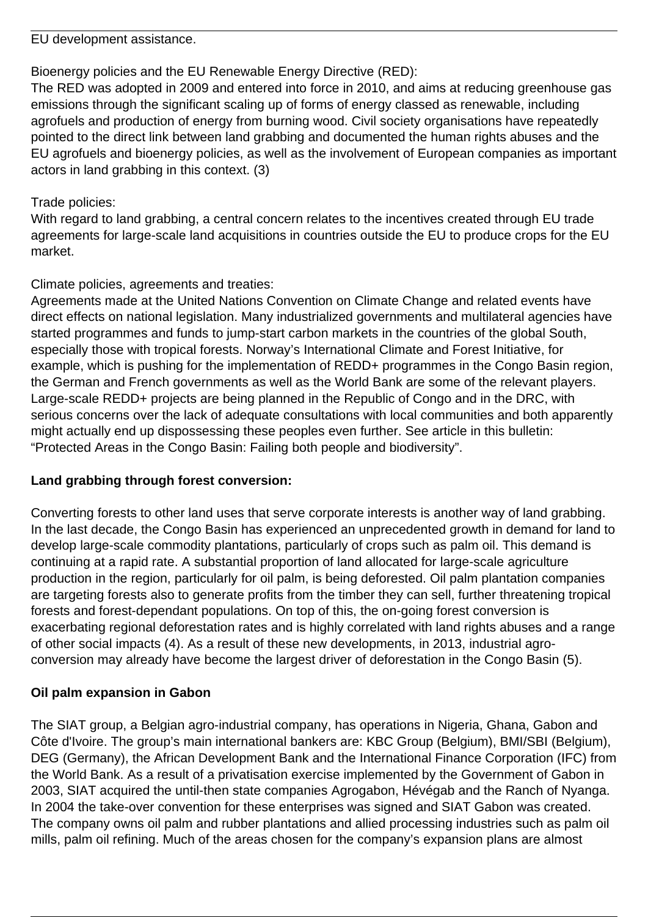EU development assistance.

Bioenergy policies and the EU Renewable Energy Directive (RED):

The RED was adopted in 2009 and entered into force in 2010, and aims at reducing greenhouse gas emissions through the significant scaling up of forms of energy classed as renewable, including agrofuels and production of energy from burning wood. Civil society organisations have repeatedly pointed to the direct link between land grabbing and documented the human rights abuses and the EU agrofuels and bioenergy policies, as well as the involvement of European companies as important actors in land grabbing in this context. (3)

## Trade policies:

With regard to land grabbing, a central concern relates to the incentives created through EU trade agreements for large-scale land acquisitions in countries outside the EU to produce crops for the EU market.

# Climate policies, agreements and treaties:

Agreements made at the United Nations Convention on Climate Change and related events have direct effects on national legislation. Many industrialized governments and multilateral agencies have started programmes and funds to jump-start carbon markets in the countries of the global South, especially those with tropical forests. Norway's International Climate and Forest Initiative, for example, which is pushing for the implementation of REDD+ programmes in the Congo Basin region, the German and French governments as well as the World Bank are some of the relevant players. Large-scale REDD+ projects are being planned in the Republic of Congo and in the DRC, with serious concerns over the lack of adequate consultations with local communities and both apparently might actually end up dispossessing these peoples even further. See article in this bulletin: "Protected Areas in the Congo Basin: Failing both people and biodiversity".

## **Land grabbing through forest conversion:**

Converting forests to other land uses that serve corporate interests is another way of land grabbing. In the last decade, the Congo Basin has experienced an unprecedented growth in demand for land to develop large-scale commodity plantations, particularly of crops such as palm oil. This demand is continuing at a rapid rate. A substantial proportion of land allocated for large-scale agriculture production in the region, particularly for oil palm, is being deforested. Oil palm plantation companies are targeting forests also to generate profits from the timber they can sell, further threatening tropical forests and forest-dependant populations. On top of this, the on-going forest conversion is exacerbating regional deforestation rates and is highly correlated with land rights abuses and a range of other social impacts (4). As a result of these new developments, in 2013, industrial agroconversion may already have become the largest driver of deforestation in the Congo Basin (5).

# **Oil palm expansion in Gabon**

The SIAT group, a Belgian agro-industrial company, has operations in Nigeria, Ghana, Gabon and Côte d'Ivoire. The group's main international bankers are: KBC Group (Belgium), BMI/SBI (Belgium), DEG (Germany), the African Development Bank and the International Finance Corporation (IFC) from the World Bank. As a result of a privatisation exercise implemented by the Government of Gabon in 2003, SIAT acquired the until-then state companies Agrogabon, Hévégab and the Ranch of Nyanga. In 2004 the take-over convention for these enterprises was signed and SIAT Gabon was created. The company owns oil palm and rubber plantations and allied processing industries such as palm oil mills, palm oil refining. Much of the areas chosen for the company's expansion plans are almost